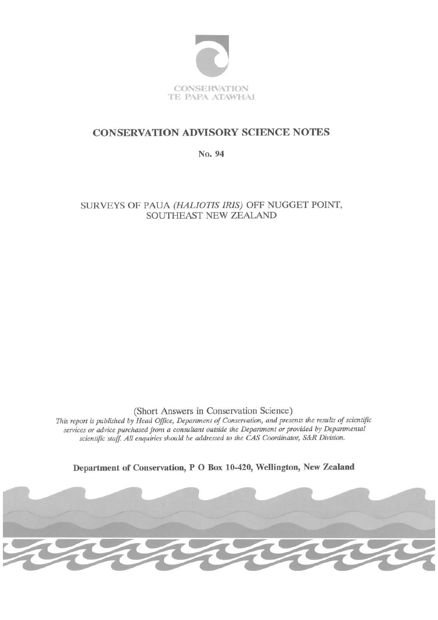

# **CONSERVATION ADVISORY SCIENCE NOTES**

No. 94

SURVEYS OF PAUA (HALIOTIS IRIS) OFF NUGGET POINT, SOUTHEAST NEW ZEALAND

(Short Answers in Conservation Science)

This report is published by Head Office, Department of Conservation, and presents the results of scientific services or advice purchased from a consultant outside the Department or provided by Departmental scientific staff. All enquiries should be addressed to the CAS Coordinator, S&R Division.

Department of Conservation, P O Box 10-420, Wellington, New Zealand

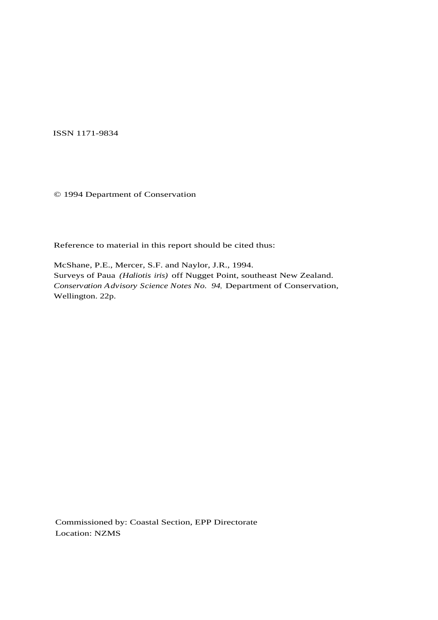ISSN 1171-9834

© 1994 Department of Conservation

Reference to material in this report should be cited thus:

McShane, P.E., Mercer, S.F. and Naylor, J.R., 1994. Surveys of Paua *(Haliotis iris)* off Nugget Point, southeast New Zealand. *Conservation Advisory Science Notes No. 94*, Department of Conservation, Wellington. 22p.

Commissioned by: Coastal Section, EPP Directorate Location: NZMS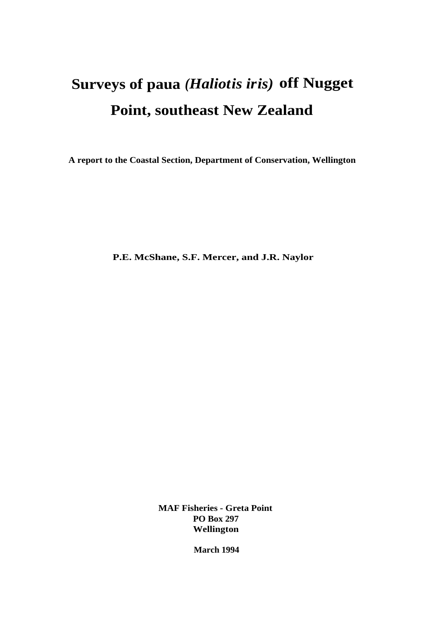# **Surveys of paua** *(Haliotis iris)* **off Nugget Point, southeast New Zealand**

**A report to the Coastal Section, Department of Conservation, Wellington**

**P.E. McShane, S.F. Mercer, and J.R. Naylor**

**MAF Fisheries - Greta Point PO Box 297 Wellington**

**March 1994**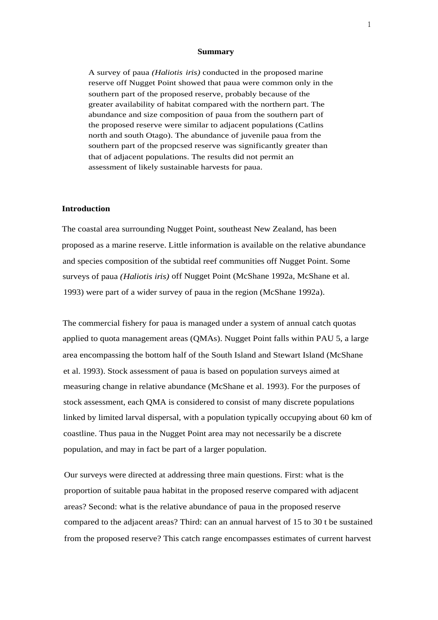#### **Summary**

A survey of paua *(Haliotis iris)* conducted in the proposed marine reserve off Nugget Point showed that paua were common only in the southern part of the proposed reserve, probably because of the greater availability of habitat compared with the northern part. The abundance and size composition of paua from the southern part of the proposed reserve were similar to adjacent populations (Catlins north and south Otago). The abundance of juvenile paua from the southern part of the propcsed reserve was significantly greater than that of adjacent populations. The results did not permit an assessment of likely sustainable harvests for paua.

#### **Introduction**

The coastal area surrounding Nugget Point, southeast New Zealand, has been proposed as a marine reserve. Little information is available on the relative abundance and species composition of the subtidal reef communities off Nugget Point. Some surveys of paua *(Haliotis iris)* off Nugget Point (McShane 1992a, McShane et al. 1993) were part of a wider survey of paua in the region (McShane 1992a).

The commercial fishery for paua is managed under a system of annual catch quotas applied to quota management areas (QMAs). Nugget Point falls within PAU 5, a large area encompassing the bottom half of the South Island and Stewart Island (McShane et al. 1993). Stock assessment of paua is based on population surveys aimed at measuring change in relative abundance (McShane et al. 1993). For the purposes of stock assessment, each QMA is considered to consist of many discrete populations linked by limited larval dispersal, with a population typically occupying about 60 km of coastline. Thus paua in the Nugget Point area may not necessarily be a discrete population, and may in fact be part of a larger population.

Our surveys were directed at addressing three main questions. First: what is the proportion of suitable paua habitat in the proposed reserve compared with adjacent areas? Second: what is the relative abundance of paua in the proposed reserve compared to the adjacent areas? Third: can an annual harvest of 15 to 30 t be sustained from the proposed reserve? This catch range encompasses estimates of current harvest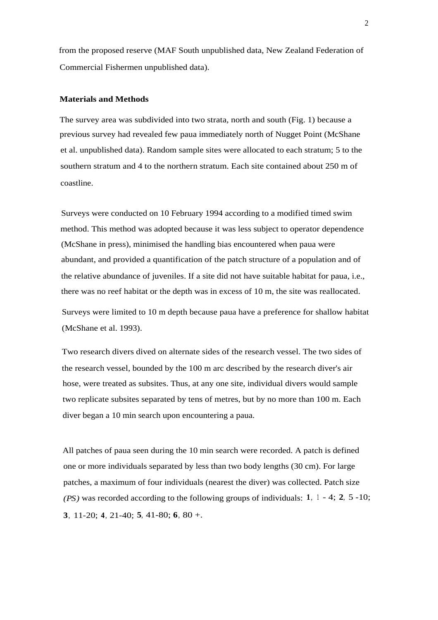from the proposed reserve (MAF South unpublished data, New Zealand Federation of Commercial Fishermen unpublished data).

## **Materials and Methods**

The survey area was subdivided into two strata, north and south (Fig. 1) because a previous survey had revealed few paua immediately north of Nugget Point (McShane et al. unpublished data). Random sample sites were allocated to each stratum; 5 to the southern stratum and 4 to the northern stratum. Each site contained about 250 m of coastline.

Surveys were conducted on 10 February 1994 according to a modified timed swim method. This method was adopted because it was less subject to operator dependence (McShane in press), minimised the handling bias encountered when paua were abundant, and provided a quantification of the patch structure of a population and of the relative abundance of juveniles. If a site did not have suitable habitat for paua, i.e., there was no reef habitat or the depth was in excess of 10 m, the site was reallocated.

Surveys were limited to 10 m depth because paua have a preference for shallow habitat (McShane et al. 1993).

Two research divers dived on alternate sides of the research vessel. The two sides of the research vessel, bounded by the 100 m arc described by the research diver's air hose, were treated as subsites. Thus, at any one site, individual divers would sample two replicate subsites separated by tens of metres, but by no more than 100 m. Each diver began a 10 min search upon encountering a paua.

All patches of paua seen during the 10 min search were recorded. A patch is defined one or more individuals separated by less than two body lengths (30 cm). For large patches, a maximum of four individuals (nearest the diver) was collected. Patch size *(PS)* was recorded according to the following groups of individuals: **<sup>1</sup>**, <sup>1</sup> - 4; **2**, 5 -10; **3**, 11-20; **4**, 21-40; **5**, 41-80; **6**, 80 +.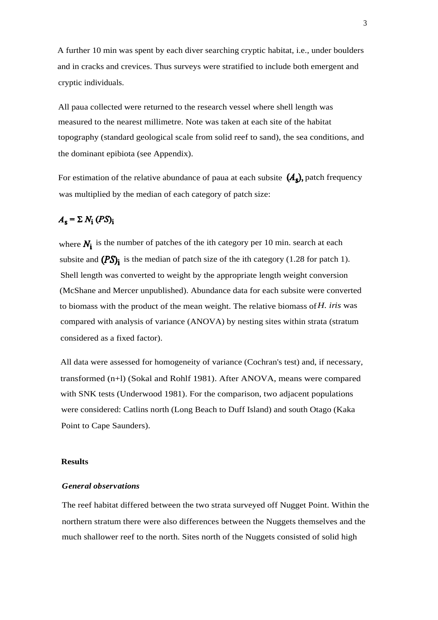A further 10 min was spent by each diver searching cryptic habitat, i.e., under boulders and in cracks and crevices. Thus surveys were stratified to include both emergent and cryptic individuals.

All paua collected were returned to the research vessel where shell length was measured to the nearest millimetre. Note was taken at each site of the habitat topography (standard geological scale from solid reef to sand), the sea conditions, and the dominant epibiota (see Appendix).

For estimation of the relative abundance of paua at each subsite  $(A_s)$ , patch frequency was multiplied by the median of each category of patch size:

# $A_s = \sum N_i (PS)_i$

where  $N_i$  is the number of patches of the ith category per 10 min. search at each subsite and  $(PS)$  is the median of patch size of the ith category (1.28 for patch 1). Shell length was converted to weight by the appropriate length weight conversion (McShane and Mercer unpublished). Abundance data for each subsite were converted to biomass with the product of the mean weight. The relative biomass of*H. iris* was compared with analysis of variance (ANOVA) by nesting sites within strata (stratum considered as a fixed factor).

All data were assessed for homogeneity of variance (Cochran's test) and, if necessary, transformed (n+l) (Sokal and Rohlf 1981). After ANOVA, means were compared with SNK tests (Underwood 1981). For the comparison, two adjacent populations were considered: Catlins north (Long Beach to Duff Island) and south Otago (Kaka Point to Cape Saunders).

## **Results**

## *General observations*

The reef habitat differed between the two strata surveyed off Nugget Point. Within the northern stratum there were also differences between the Nuggets themselves and the much shallower reef to the north. Sites north of the Nuggets consisted of solid high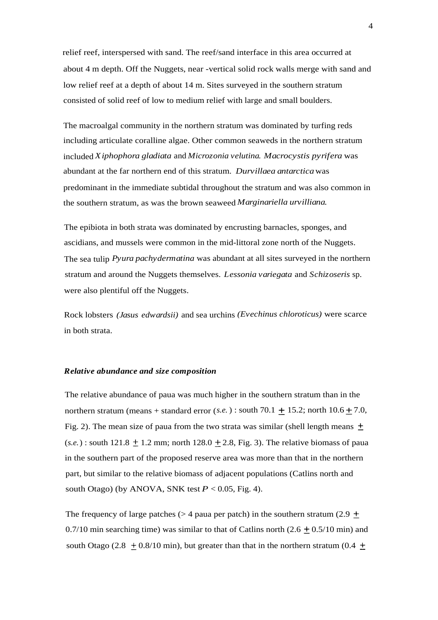relief reef, interspersed with sand. The reef/sand interface in this area occurred at about 4 m depth. Off the Nuggets, near -vertical solid rock walls merge with sand and low relief reef at a depth of about 14 m. Sites surveyed in the southern stratum consisted of solid reef of low to medium relief with large and small boulders.

The macroalgal community in the northern stratum was dominated by turfing reds including articulate coralline algae. Other common seaweds in the northern stratum included *Xiphophora gladiata* and *Microzonia velutina. Macrocystis pyrifera* was abundant at the far northern end of this stratum. *Durvillaea antarctica* was predominant in the immediate subtidal throughout the stratum and was also common in the southern stratum, as was the brown seaweed *Marginariella urvilliana.*

The epibiota in both strata was dominated by encrusting barnacles, sponges, and ascidians, and mussels were common in the mid-littoral zone north of the Nuggets. The sea tulip *Pyura pachydermatina* was abundant at all sites surveyed in the northern stratum and around the Nuggets themselves. *Lessonia variegata* and *Schizoseris* sp. were also plentiful off the Nuggets.

Rock lobsters *(Jasus edwardsii)* and sea urchins *(Evechinus chloroticus)* were scarce in both strata.

#### *Relative abundance and size composition*

The relative abundance of paua was much higher in the southern stratum than in the northern stratum (means  $+$  standard error (*s.e.*): south 70.1  $\pm$  15.2; north 10.6  $\pm$  7.0, Fig. 2). The mean size of paua from the two strata was similar (shell length means  $\pm$  $(s.e.)$ : south 121.8  $\pm$  1.2 mm; north 128.0  $\pm$  2.8, Fig. 3). The relative biomass of paua in the southern part of the proposed reserve area was more than that in the northern part, but similar to the relative biomass of adjacent populations (Catlins north and south Otago) (by ANOVA, SNK test  $P < 0.05$ , Fig. 4).

The frequency of large patches ( $>$  4 paua per patch) in the southern stratum (2.9  $+$ 0.7/10 min searching time) was similar to that of Catlins north  $(2.6 \pm 0.5/10 \text{ min})$  and south Otago (2.8  $\pm$  0.8/10 min), but greater than that in the northern stratum (0.4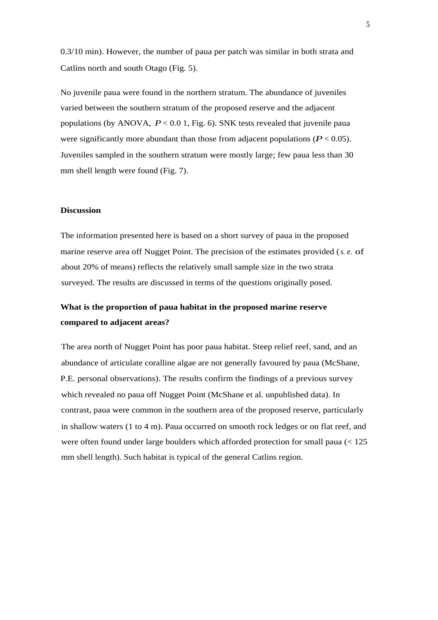0.3/10 min). However, the number of paua per patch was similar in both strata and Catlins north and south Otago (Fig. 5).

No juvenile paua were found in the northern stratum. The abundance of juveniles varied between the southern stratum of the proposed reserve and the adjacent populations (by ANOVA, *P* < 0.0 1, Fig. 6). SNK tests revealed that juvenile paua were significantly more abundant than those from adjacent populations ( $P < 0.05$ ). Juveniles sampled in the southern stratum were mostly large; few paua less than 30 mm shell length were found (Fig. 7).

## **Discussion**

The information presented here is based on a short survey of paua in the proposed marine reserve area off Nugget Point. The precision of the estimates provided (*s. e.* of about 20% of means) reflects the relatively small sample size in the two strata surveyed. The results are discussed in terms of the questions originally posed.

# **What is the proportion of paua habitat in the proposed marine reserve compared to adjacent areas?**

The area north of Nugget Point has poor paua habitat. Steep relief reef, sand, and an abundance of articulate coralline algae are not generally favoured by paua (McShane, P.E. personal observations). The results confirm the findings of a previous survey which revealed no paua off Nugget Point (McShane et al. unpublished data). In contrast, paua were common in the southern area of the proposed reserve, particularly in shallow waters (1 to 4 m). Paua occurred on smooth rock ledges or on flat reef, and were often found under large boulders which afforded protection for small paua (< 125 mm shell length). Such habitat is typical of the general Catlins region.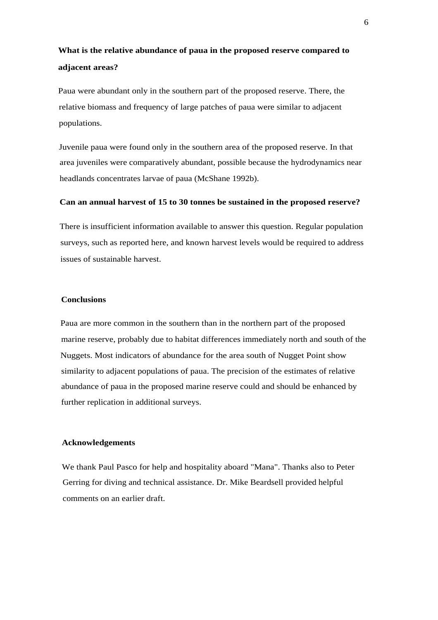# **What is the relative abundance of paua in the proposed reserve compared to adjacent areas?**

Paua were abundant only in the southern part of the proposed reserve. There, the relative biomass and frequency of large patches of paua were similar to adjacent populations.

Juvenile paua were found only in the southern area of the proposed reserve. In that area juveniles were comparatively abundant, possible because the hydrodynamics near headlands concentrates larvae of paua (McShane 1992b).

## **Can an annual harvest of 15 to 30 tonnes be sustained in the proposed reserve?**

There is insufficient information available to answer this question. Regular population surveys, such as reported here, and known harvest levels would be required to address issues of sustainable harvest.

# **Conclusions**

Paua are more common in the southern than in the northern part of the proposed marine reserve, probably due to habitat differences immediately north and south of the Nuggets. Most indicators of abundance for the area south of Nugget Point show similarity to adjacent populations of paua. The precision of the estimates of relative abundance of paua in the proposed marine reserve could and should be enhanced by further replication in additional surveys.

# **Acknowledgements**

We thank Paul Pasco for help and hospitality aboard "Mana". Thanks also to Peter Gerring for diving and technical assistance. Dr. Mike Beardsell provided helpful comments on an earlier draft.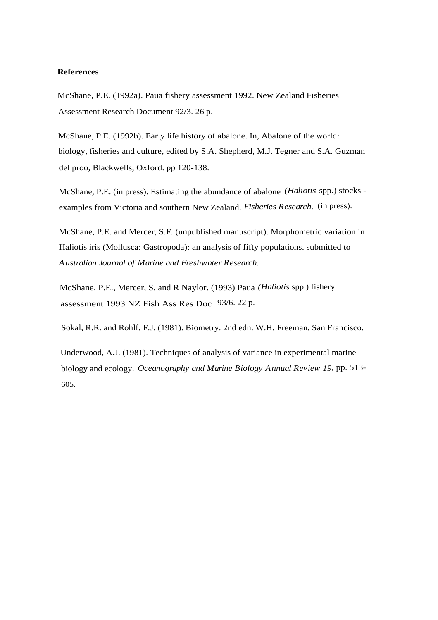#### **References**

McShane, P.E. (1992a). Paua fishery assessment 1992. New Zealand Fisheries Assessment Research Document 92/3. 26 p.

McShane, P.E. (1992b). Early life history of abalone. In, Abalone of the world: biology, fisheries and culture, edited by S.A. Shepherd, M.J. Tegner and S.A. Guzman del proo, Blackwells, Oxford. pp 120-138.

McShane, P.E. (in press). Estimating the abundance of abalone *(Haliotis* spp.) stocks examples from Victoria and southern New Zealand. *Fisheries Research.* (in press).

McShane, P.E. and Mercer, S.F. (unpublished manuscript). Morphometric variation in Haliotis iris (Mollusca: Gastropoda): an analysis of fifty populations. submitted to *Australian Journal of Marine and Freshwater Research.*

McShane, P.E., Mercer, S. and R Naylor. (1993) Paua *(Haliotis* spp.) fishery assessment 1993 NZ Fish Ass Res Doc 93/6. 22 p.

Sokal, R.R. and Rohlf, F.J. (1981). Biometry. 2nd edn. W.H. Freeman, San Francisco.

Underwood, A.J. (1981). Techniques of analysis of variance in experimental marine biology and ecology. *Oceanography and Marine Biology Annual Review 19*, pp. 513- 605.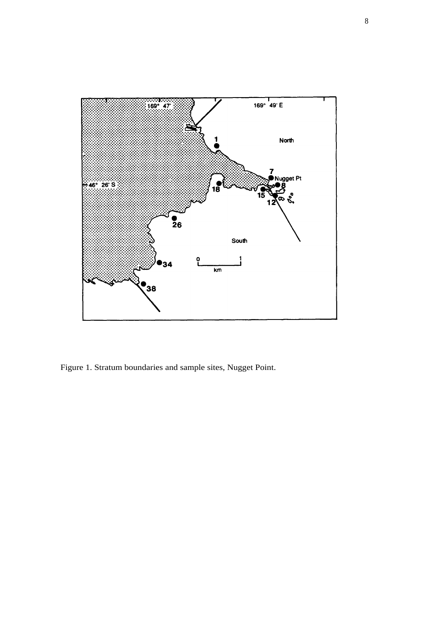

Figure 1. Stratum boundaries and sample sites, Nugget Point.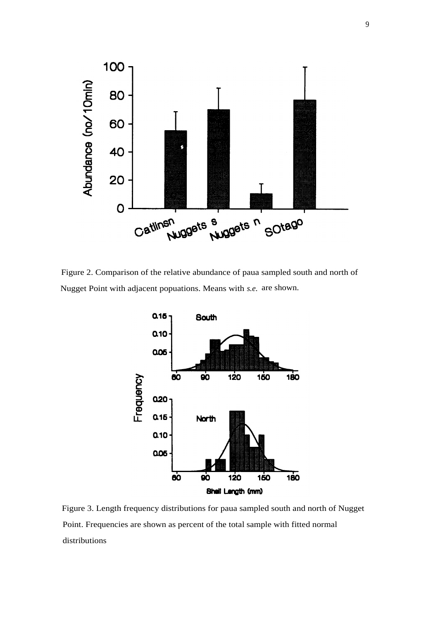

Figure 2. Comparison of the relative abundance of paua sampled south and north of Nugget Point with adjacent popuations. Means with *s.e.* are shown.



Figure 3. Length frequency distributions for paua sampled south and north of Nugget Point. Frequencies are shown as percent of the total sample with fitted normal distributions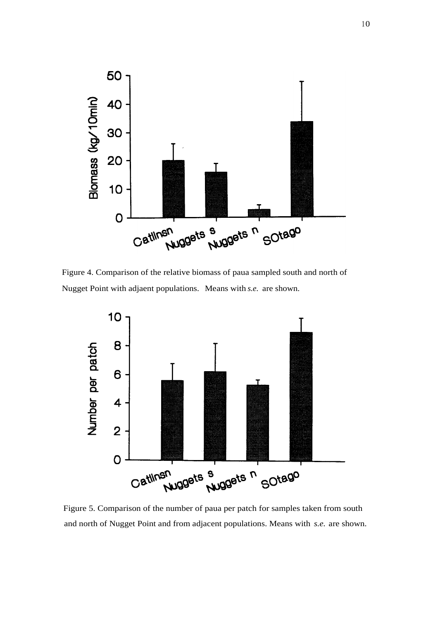

Figure 4. Comparison of the relative biomass of paua sampled south and north of Nugget Point with adjaent populations. Means with *s.e.* are shown.



Figure 5. Comparison of the number of paua per patch for samples taken from south and north of Nugget Point and from adjacent populations. Means with *s.e.* are shown.